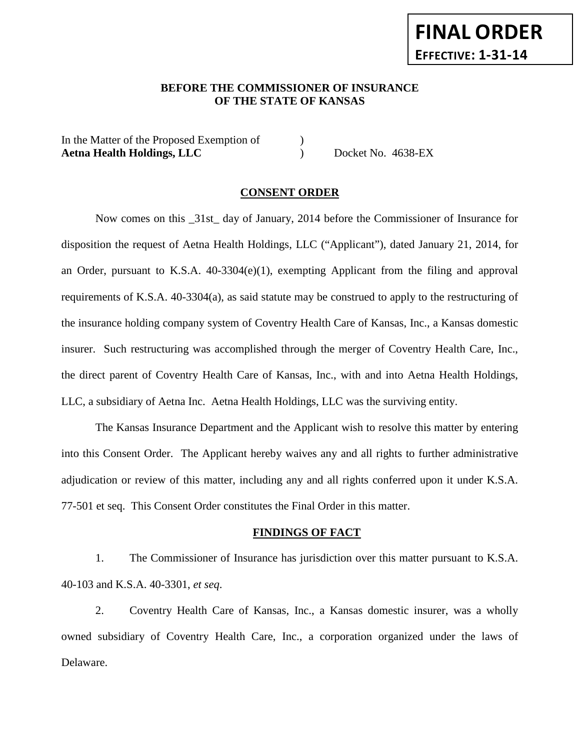## **BEFORE THE COMMISSIONER OF INSURANCE OF THE STATE OF KANSAS**

In the Matter of the Proposed Exemption of  $\qquad \qquad$  ) Aetna Health Holdings, LLC Docket No. 4638-EX

#### **CONSENT ORDER**

Now comes on this \_31st\_ day of January, 2014 before the Commissioner of Insurance for disposition the request of Aetna Health Holdings, LLC ("Applicant"), dated January 21, 2014, for an Order, pursuant to K.S.A. 40-3304(e)(1), exempting Applicant from the filing and approval requirements of K.S.A. 40-3304(a), as said statute may be construed to apply to the restructuring of the insurance holding company system of Coventry Health Care of Kansas, Inc., a Kansas domestic insurer. Such restructuring was accomplished through the merger of Coventry Health Care, Inc., the direct parent of Coventry Health Care of Kansas, Inc., with and into Aetna Health Holdings, LLC, a subsidiary of Aetna Inc. Aetna Health Holdings, LLC was the surviving entity.

The Kansas Insurance Department and the Applicant wish to resolve this matter by entering into this Consent Order. The Applicant hereby waives any and all rights to further administrative adjudication or review of this matter, including any and all rights conferred upon it under K.S.A. 77-501 et seq. This Consent Order constitutes the Final Order in this matter.

#### **FINDINGS OF FACT**

1. The Commissioner of Insurance has jurisdiction over this matter pursuant to K.S.A. 40-103 and K.S.A. 40-3301, *et seq*.

2. Coventry Health Care of Kansas, Inc., a Kansas domestic insurer, was a wholly owned subsidiary of Coventry Health Care, Inc., a corporation organized under the laws of Delaware.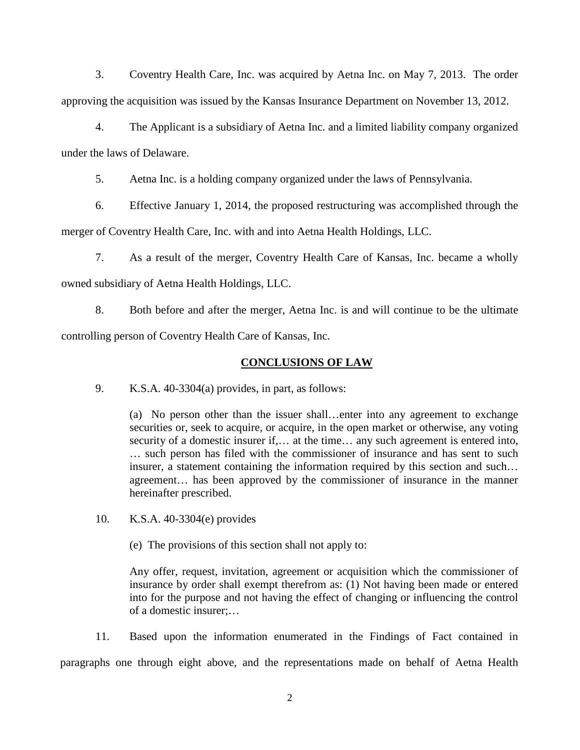3. Coventry Health Care, Inc. was acquired by Aetna Inc. on May 7, 2013. The order approving the acquisition was issued by the Kansas Insurance Department on November 13, 2012.

4. The Applicant is a subsidiary of Aetna Inc. and a limited liability company organized under the laws of Delaware.

5. Aetna Inc. is a holding company organized under the laws of Pennsylvania.

6. Effective January 1, 2014, the proposed restructuring was accomplished through the

merger of Coventry Health Care, Inc. with and into Aetna Health Holdings, LLC.

7. As a result of the merger, Coventry Health Care of Kansas, Inc. became a wholly owned subsidiary of Aetna Health Holdings, LLC.

8. Both before and after the merger, Aetna Inc. is and will continue to be the ultimate controlling person of Coventry Health Care of Kansas, Inc.

## **CONCLUSIONS OF LAW**

9. K.S.A. 40-3304(a) provides, in part, as follows:

(a) No person other than the issuer shall…enter into any agreement to exchange securities or, seek to acquire, or acquire, in the open market or otherwise, any voting security of a domestic insurer if,… at the time… any such agreement is entered into, … such person has filed with the commissioner of insurance and has sent to such insurer, a statement containing the information required by this section and such… agreement… has been approved by the commissioner of insurance in the manner hereinafter prescribed.

10. K.S.A. 40-3304(e) provides

(e) The provisions of this section shall not apply to:

Any offer, request, invitation, agreement or acquisition which the commissioner of insurance by order shall exempt therefrom as: (1) Not having been made or entered into for the purpose and not having the effect of changing or influencing the control of a domestic insurer;…

11. Based upon the information enumerated in the Findings of Fact contained in paragraphs one through eight above, and the representations made on behalf of Aetna Health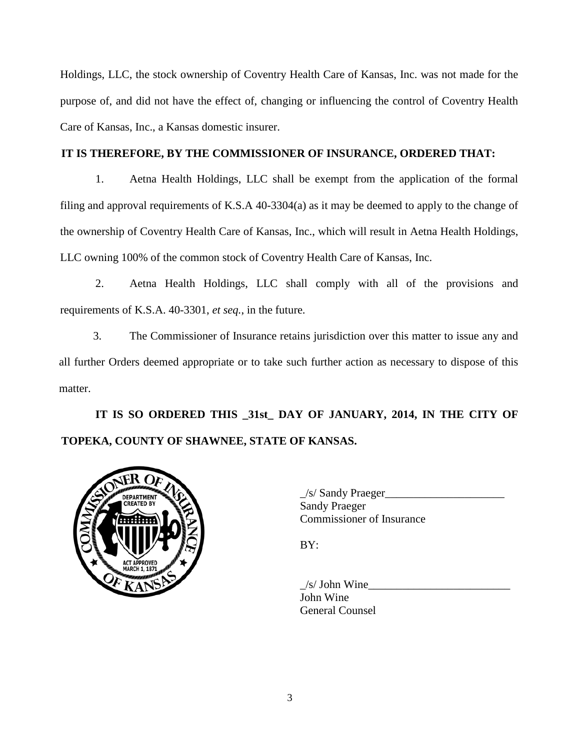Holdings, LLC, the stock ownership of Coventry Health Care of Kansas, Inc. was not made for the purpose of, and did not have the effect of, changing or influencing the control of Coventry Health Care of Kansas, Inc., a Kansas domestic insurer.

# **IT IS THEREFORE, BY THE COMMISSIONER OF INSURANCE, ORDERED THAT:**

1. Aetna Health Holdings, LLC shall be exempt from the application of the formal filing and approval requirements of K.S.A 40-3304(a) as it may be deemed to apply to the change of the ownership of Coventry Health Care of Kansas, Inc., which will result in Aetna Health Holdings, LLC owning 100% of the common stock of Coventry Health Care of Kansas, Inc.

2. Aetna Health Holdings, LLC shall comply with all of the provisions and requirements of K.S.A. 40-3301, *et seq.*, in the future.

3. The Commissioner of Insurance retains jurisdiction over this matter to issue any and all further Orders deemed appropriate or to take such further action as necessary to dispose of this matter.

**IT IS SO ORDERED THIS \_31st\_ DAY OF JANUARY, 2014, IN THE CITY OF TOPEKA, COUNTY OF SHAWNEE, STATE OF KANSAS.**



 $\angle$ s/ Sandy Praeger $\angle$ Sandy Praeger Commissioner of Insurance

BY:

 $\angle$ s/ John Wine John Wine General Counsel